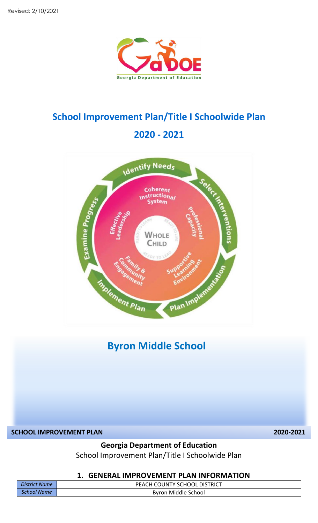

# **School Improvement Plan/Title I Schoolwide Plan**

### **2020 - 2021**



## **Byron Middle School**

**SCHOOL IMPROVEMENT PLAN 2020-2021**

**Georgia Department of Education**

School Improvement Plan/Title I Schoolwide Plan

### **1. GENERAL IMPROVEMENT PLAN INFORMATION**

| District Name      | PEACH COUNTY SCHOOL DISTRICT |
|--------------------|------------------------------|
| <b>School Name</b> | Byron Middle School          |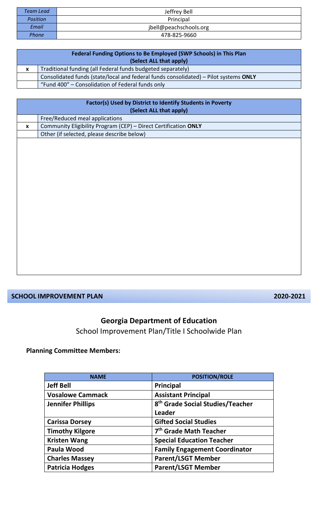| Team Lead    | Jeffrey Bell           |
|--------------|------------------------|
| Position     | Principal              |
| Email        | jbell@peachschools.org |
| <b>Phone</b> | 478-825-9660           |

| Federal Funding Options to Be Employed (SWP Schools) in This Plan<br>(Select ALL that apply) |                                                                                      |  |  |  |  |  |
|----------------------------------------------------------------------------------------------|--------------------------------------------------------------------------------------|--|--|--|--|--|
| X                                                                                            | Traditional funding (all Federal funds budgeted separately)                          |  |  |  |  |  |
|                                                                                              | Consolidated funds (state/local and federal funds consolidated) - Pilot systems ONLY |  |  |  |  |  |
|                                                                                              | "Fund 400" – Consolidation of Federal funds only                                     |  |  |  |  |  |

|   | Factor(s) Used by District to Identify Students in Poverty<br>(Select ALL that apply) |  |  |  |  |  |  |
|---|---------------------------------------------------------------------------------------|--|--|--|--|--|--|
|   | Free/Reduced meal applications                                                        |  |  |  |  |  |  |
| X | Community Eligibility Program (CEP) - Direct Certification ONLY                       |  |  |  |  |  |  |
|   | Other (if selected, please describe below)                                            |  |  |  |  |  |  |
|   |                                                                                       |  |  |  |  |  |  |
|   |                                                                                       |  |  |  |  |  |  |
|   |                                                                                       |  |  |  |  |  |  |
|   |                                                                                       |  |  |  |  |  |  |
|   |                                                                                       |  |  |  |  |  |  |
|   |                                                                                       |  |  |  |  |  |  |
|   |                                                                                       |  |  |  |  |  |  |

### **SCHOOL IMPROVEMENT PLAN** 2020-2021

### **Georgia Department of Education**

School Improvement Plan/Title I Schoolwide Plan

### **Planning Committee Members:**

| <b>NAME</b>              | <b>POSITION/ROLE</b>                         |
|--------------------------|----------------------------------------------|
| <b>Jeff Bell</b>         | <b>Principal</b>                             |
| <b>Vosalowe Cammack</b>  | <b>Assistant Principal</b>                   |
| <b>Jennifer Phillips</b> | 8 <sup>th</sup> Grade Social Studies/Teacher |
|                          | <b>Leader</b>                                |
| <b>Carissa Dorsey</b>    | <b>Gifted Social Studies</b>                 |
| <b>Timothy Kilgore</b>   | 7 <sup>th</sup> Grade Math Teacher           |
| <b>Kristen Wang</b>      | <b>Special Education Teacher</b>             |
| Paula Wood               | <b>Family Engagement Coordinator</b>         |
| <b>Charles Massey</b>    | <b>Parent/LSGT Member</b>                    |
| <b>Patricia Hodges</b>   | <b>Parent/LSGT Member</b>                    |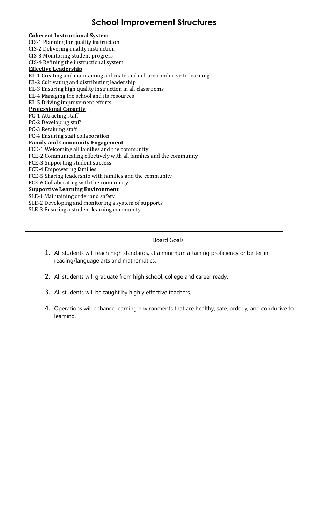### **School Improvement Structures**

#### **Coherent Instructional System**

CIS-1 Planning for quality instruction CIS-2 Delivering quality instruction CIS-3 Monitoring student progress CIS-4 Refining the instructional system **Effective Leadership** EL-1 Creating and maintaining a climate and culture conducive to learning EL-2 Cultivating and distributing leadership EL-3 Ensuring high quality instruction in all classrooms EL-4 Managing the school and its resources EL-5 Driving improvement efforts **Professional Capacity** PC-1 Attracting staff PC-2 Developing staff PC-3 Retaining staff PC-4 Ensuring staff collaboration **Family and Community Engagement** FCE-1 Welcoming all families and the community FCE-2 Communicating effectively with all families and the community FCE-3 Supporting student success FCE-4 Empowering families FCE-5 Sharing leadership with families and the community FCE-6 Collaborating with the community **Supportive Learning Environment** SLE-1 Maintaining order and safety SLE-2 Developing and monitoring a system of supports SLE-3 Ensuring a student learning community

#### Board Goals

- 1. All students will reach high standards, at a minimum attaining proficiency or better in reading/language arts and mathematics.
- 2. All students will graduate from high school, college and career ready.
- 3. All students will be taught by highly effective teachers.
- 4. Operations will enhance learning environments that are healthy, safe, orderly, and conducive to learning.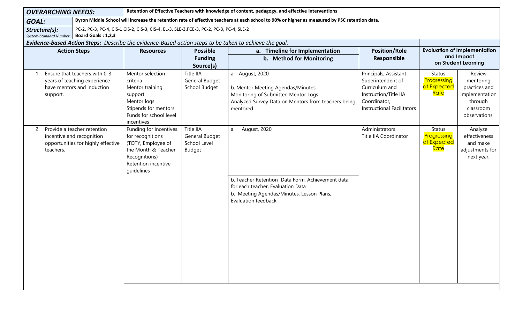| <b>OVERARCHING NEEDS:</b>                                                                              |                                                                                                | Retention of Effective Teachers with knowledge of content, pedagogy, and effective interventions                                              |                                                       |                                                                                                                                                                                     |                                                                                                                                            |                                                   |                                                                                                 |  |  |  |  |
|--------------------------------------------------------------------------------------------------------|------------------------------------------------------------------------------------------------|-----------------------------------------------------------------------------------------------------------------------------------------------|-------------------------------------------------------|-------------------------------------------------------------------------------------------------------------------------------------------------------------------------------------|--------------------------------------------------------------------------------------------------------------------------------------------|---------------------------------------------------|-------------------------------------------------------------------------------------------------|--|--|--|--|
| <b>GOAL:</b>                                                                                           |                                                                                                | Byron Middle School will increase the retention rate of effective teachers at each school to 90% or higher as measured by PSC retention data. |                                                       |                                                                                                                                                                                     |                                                                                                                                            |                                                   |                                                                                                 |  |  |  |  |
| Structure(s):<br>System-Standard Number                                                                | Board Goals: 1,2,3                                                                             | PC-2, PC-3, PC-4, CIS-1 CIS-2, CIS-3, CIS-4, EL-3, SLE-3, FCE-3, PC-2, PC-3, PC-4, SLE-2                                                      |                                                       |                                                                                                                                                                                     |                                                                                                                                            |                                                   |                                                                                                 |  |  |  |  |
| Evidence-based Action Steps: Describe the evidence-Based action steps to be taken to achieve the goal. |                                                                                                |                                                                                                                                               |                                                       |                                                                                                                                                                                     |                                                                                                                                            |                                                   |                                                                                                 |  |  |  |  |
|                                                                                                        | <b>Action Steps</b>                                                                            | <b>Resources</b>                                                                                                                              |                                                       | a. Timeline for Implementation<br>b. Method for Monitoring                                                                                                                          | <b>Position/Role</b>                                                                                                                       | <b>Evaluation of Implementation</b><br>and Impact |                                                                                                 |  |  |  |  |
|                                                                                                        |                                                                                                |                                                                                                                                               | <b>Funding</b><br>Source(s)                           |                                                                                                                                                                                     | Responsible                                                                                                                                | on Student Learning                               |                                                                                                 |  |  |  |  |
| 1.<br>support.                                                                                         | Ensure that teachers with 0-3<br>years of teaching experience<br>have mentors and induction    | Mentor selection<br>criteria<br>Mentor training<br>support<br>Mentor logs<br>Stipends for mentors<br>Funds for school level<br>incentives     | Title IIA<br>General Budget<br>School Budget          | a. August, 2020<br>b. Mentor Meeting Agendas/Minutes<br>Monitoring of Submitted Mentor Logs<br>Analyzed Survey Data on Mentors from teachers being<br>mentored                      | Principals, Assistant<br>Superintendent of<br>Curriculum and<br>Instruction/Title IIA<br>Coordinator,<br><b>Instructional Facilitators</b> | Status<br>Progressing<br>at Expected<br>Rate      | Review<br>mentoring<br>practices and<br>implementation<br>through<br>classroom<br>observations. |  |  |  |  |
| 2.<br>teachers.                                                                                        | Provide a teacher retention<br>incentive and recognition<br>opportunities for highly effective | Funding for Incentives<br>for recognitions<br>(TOTY, Employee of<br>the Month & Teacher<br>Recognitions)<br>Retention incentive<br>guidelines | Title IIA<br>General Budget<br>School Level<br>Budget | a. August, 2020<br>b. Teacher Retention Data Form, Achievement data<br>for each teacher, Evaluation Data<br>b. Meeting Agendas/Minutes, Lesson Plans,<br><b>Evaluation feedback</b> | Administrators<br>Title IIA Coordinator                                                                                                    | Status<br>Progressing<br>at Expected<br>Rate      | Analyze<br>effectiveness<br>and make<br>adjustments for<br>next year.                           |  |  |  |  |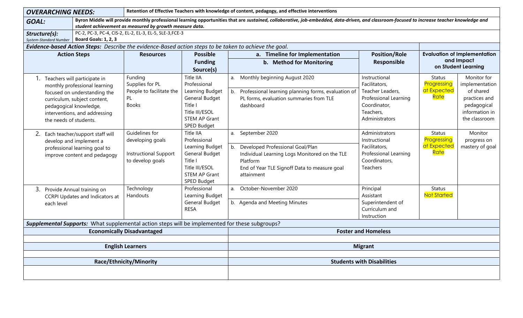| <b>OVERARCHING NEEDS:</b> |                                                                                                                                     | Retention of Effective Teachers with knowledge of content, pedagogy, and effective interventions                                                               |                                                                                                        |                                                                                                                                                                                                                                                        |                |                                                                                                                                                                                  |                                                                                                                            |                                                                          |                                                                                                               |  |  |
|---------------------------|-------------------------------------------------------------------------------------------------------------------------------------|----------------------------------------------------------------------------------------------------------------------------------------------------------------|--------------------------------------------------------------------------------------------------------|--------------------------------------------------------------------------------------------------------------------------------------------------------------------------------------------------------------------------------------------------------|----------------|----------------------------------------------------------------------------------------------------------------------------------------------------------------------------------|----------------------------------------------------------------------------------------------------------------------------|--------------------------------------------------------------------------|---------------------------------------------------------------------------------------------------------------|--|--|
| <b>GOAL:</b>              |                                                                                                                                     |                                                                                                                                                                |                                                                                                        | Byron Middle will provide monthly professional learning opportunities that are sustained, collaborative, job-embedded, data-driven, and classroom-focused to increase teacher knowledge and<br>student achievement as measured by growth measure data. |                |                                                                                                                                                                                  |                                                                                                                            |                                                                          |                                                                                                               |  |  |
|                           | PC-2, PC-3, PC-4, CIS-2, EL-2, EL-3, EL-5, SLE-3, FCE-3<br>Structure(s):<br>Board Goals: 1, 2, 3<br>System-Standard Number          |                                                                                                                                                                |                                                                                                        |                                                                                                                                                                                                                                                        |                |                                                                                                                                                                                  |                                                                                                                            |                                                                          |                                                                                                               |  |  |
|                           |                                                                                                                                     |                                                                                                                                                                | Evidence-based Action Steps: Describe the evidence-Based action steps to be taken to achieve the goal. |                                                                                                                                                                                                                                                        |                |                                                                                                                                                                                  |                                                                                                                            |                                                                          |                                                                                                               |  |  |
|                           |                                                                                                                                     | <b>Action Steps</b>                                                                                                                                            | <b>Resources</b>                                                                                       | <b>Possible</b>                                                                                                                                                                                                                                        |                | a. Timeline for Implementation                                                                                                                                                   | <b>Position/Role</b>                                                                                                       | <b>Evaluation of Implementation</b><br>and Impact<br>on Student Learning |                                                                                                               |  |  |
|                           |                                                                                                                                     |                                                                                                                                                                |                                                                                                        | <b>Funding</b><br>Source(s)                                                                                                                                                                                                                            |                | b. Method for Monitoring                                                                                                                                                         | Responsible                                                                                                                |                                                                          |                                                                                                               |  |  |
|                           | pedagogical knowledge,<br>the needs of students.                                                                                    | Teachers will participate in<br>monthly professional learning<br>focused on understanding the<br>curriculum, subject content,<br>interventions, and addressing | Funding<br>Supplies for PL<br>People to facilitate the<br>PL<br><b>Books</b>                           | Title IIA<br>Professional<br>Learning Budget<br>General Budget<br>Title I<br>Title III/ESOL<br><b>STEM AP Grant</b><br>SPED Budget                                                                                                                     | a.             | Monthly beginning August 2020<br>b. Professional learning planning forms, evaluation of<br>PL forms, evaluation summaries from TLE<br>dashboard                                  | Instructional<br>Facilitators,<br>Teacher Leaders,<br>Professional Learning<br>Coordinator,<br>Teachers,<br>Administrators | Status<br>Progressing<br>at Expected<br>Rate                             | Monitor for<br>implementation<br>of shared<br>practices and<br>pedagogical<br>information in<br>the classroom |  |  |
| 2.                        |                                                                                                                                     | Each teacher/support staff will<br>develop and implement a<br>professional learning goal to<br>improve content and pedagogy                                    | Guidelines for<br>developing goals<br><b>Instructional Support</b><br>to develop goals                 | Title IIA<br>Professional<br>Learning Budget<br>General Budget<br>Title I<br>Title III/ESOL<br><b>STEM AP Grant</b><br>SPED Budget                                                                                                                     | b.             | a. September 2020<br>Developed Professional Goal/Plan<br>Individual Learning Logs Monitored on the TLE<br>Platform<br>End of Year TLE Signoff Data to measure goal<br>attainment | Administrators<br>Instructional<br>Facilitators,<br>Professional Learning<br>Coordinators,<br>Teachers                     | Status<br>Progressing<br>at Expected<br>Rate                             | Monitor<br>progress on<br>mastery of goal                                                                     |  |  |
| 3.                        | Provide Annual training on<br><b>CCRPI Updates and Indicators at</b><br>each level                                                  |                                                                                                                                                                | Technology<br>Handouts                                                                                 | Professional<br>Learning Budget<br>General Budget<br><b>RESA</b>                                                                                                                                                                                       |                | a. October-November 2020<br>b. Agenda and Meeting Minutes                                                                                                                        | Principal<br>Assistant<br>Superintendent of<br>Curriculum and<br>Instruction                                               | Status<br><b>Not Started</b>                                             |                                                                                                               |  |  |
|                           |                                                                                                                                     |                                                                                                                                                                |                                                                                                        |                                                                                                                                                                                                                                                        |                |                                                                                                                                                                                  |                                                                                                                            |                                                                          |                                                                                                               |  |  |
|                           | Supplemental Supports: What supplemental action steps will be implemented for these subgroups?<br><b>Economically Disadvantaged</b> |                                                                                                                                                                |                                                                                                        |                                                                                                                                                                                                                                                        |                | <b>Foster and Homeless</b>                                                                                                                                                       |                                                                                                                            |                                                                          |                                                                                                               |  |  |
|                           |                                                                                                                                     |                                                                                                                                                                |                                                                                                        |                                                                                                                                                                                                                                                        |                |                                                                                                                                                                                  |                                                                                                                            |                                                                          |                                                                                                               |  |  |
|                           | <b>English Learners</b>                                                                                                             |                                                                                                                                                                |                                                                                                        |                                                                                                                                                                                                                                                        | <b>Migrant</b> |                                                                                                                                                                                  |                                                                                                                            |                                                                          |                                                                                                               |  |  |
|                           |                                                                                                                                     |                                                                                                                                                                |                                                                                                        |                                                                                                                                                                                                                                                        |                |                                                                                                                                                                                  |                                                                                                                            |                                                                          |                                                                                                               |  |  |
|                           |                                                                                                                                     |                                                                                                                                                                | Race/Ethnicity/Minority                                                                                |                                                                                                                                                                                                                                                        |                |                                                                                                                                                                                  | <b>Students with Disabilities</b>                                                                                          |                                                                          |                                                                                                               |  |  |
|                           |                                                                                                                                     |                                                                                                                                                                |                                                                                                        |                                                                                                                                                                                                                                                        |                |                                                                                                                                                                                  |                                                                                                                            |                                                                          |                                                                                                               |  |  |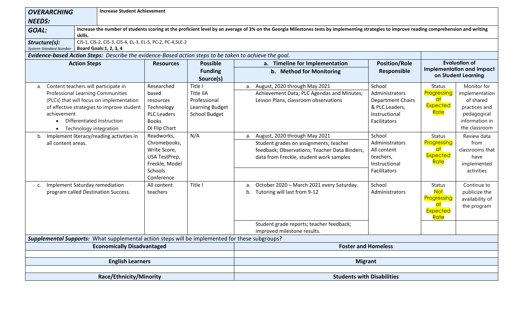| <b>Increase Student Achievement</b><br><b>OVERARCHING</b>                                                                                                                                                                                        |                                                                                                                                                                                                                        |                                                                                                                     |                                                                                               |                             |                                                                                                                                                      |                                                                                                                   |                                                                                       |                                                                                                                              |                                                                |                      |
|--------------------------------------------------------------------------------------------------------------------------------------------------------------------------------------------------------------------------------------------------|------------------------------------------------------------------------------------------------------------------------------------------------------------------------------------------------------------------------|---------------------------------------------------------------------------------------------------------------------|-----------------------------------------------------------------------------------------------|-----------------------------|------------------------------------------------------------------------------------------------------------------------------------------------------|-------------------------------------------------------------------------------------------------------------------|---------------------------------------------------------------------------------------|------------------------------------------------------------------------------------------------------------------------------|----------------------------------------------------------------|----------------------|
| <b>NEEDS:</b>                                                                                                                                                                                                                                    |                                                                                                                                                                                                                        |                                                                                                                     |                                                                                               |                             |                                                                                                                                                      |                                                                                                                   |                                                                                       |                                                                                                                              |                                                                |                      |
|                                                                                                                                                                                                                                                  | Increase the number of students scoring at the proficient level by an average of 3% on the Georgia Milestones tests by implementing strategies to improve reading comprehension and writing<br><b>GOAL:</b><br>skills. |                                                                                                                     |                                                                                               |                             |                                                                                                                                                      |                                                                                                                   |                                                                                       |                                                                                                                              |                                                                |                      |
|                                                                                                                                                                                                                                                  | CIS-1, CIS-2, CIS-3, CIS-4, EL-3, EL-5, PC-2, PC-4, SLE-2<br>Structure(s):<br><b>Board Goals:1, 2, 3, 4</b><br>System-Standard Number                                                                                  |                                                                                                                     |                                                                                               |                             |                                                                                                                                                      |                                                                                                                   |                                                                                       |                                                                                                                              |                                                                |                      |
|                                                                                                                                                                                                                                                  |                                                                                                                                                                                                                        |                                                                                                                     |                                                                                               |                             | Evidence-based Action Steps: Describe the evidence-Based action steps to be taken to achieve the goal.                                               |                                                                                                                   |                                                                                       |                                                                                                                              |                                                                |                      |
|                                                                                                                                                                                                                                                  |                                                                                                                                                                                                                        | <b>Action Steps</b>                                                                                                 |                                                                                               | <b>Resources</b>            | <b>Possible</b>                                                                                                                                      |                                                                                                                   | a. Timeline for Implementation                                                        | <b>Position/Role</b>                                                                                                         |                                                                | <b>Evaluation of</b> |
|                                                                                                                                                                                                                                                  |                                                                                                                                                                                                                        |                                                                                                                     |                                                                                               | <b>Funding</b><br>Source(s) |                                                                                                                                                      |                                                                                                                   | b. Method for Monitoring                                                              | Responsible                                                                                                                  | <b>Implementation and Impact</b><br>on Student Learning        |                      |
| Content teachers will participate in<br>a.<br>Professional Learning Communities<br>(PLCs) that will focus on implementation<br>of effective strategies to improve student<br>achievement<br>Differentiated Instruction<br>Technology integration |                                                                                                                                                                                                                        | Researched<br>based<br>resources<br>Technology<br><b>PLC Leaders</b><br><b>Books</b><br>DI Flip Chart<br>Readworks, | Title I<br><b>Title IIA</b><br>Professional<br>Learning Budget<br><b>School Budget</b><br>N/A | а.<br>a.                    | August, 2020 through May 2021<br>Achievement Data; PLC Agendas and Minutes;<br>Lesson Plans, classroom observations<br>August, 2020 through May 2021 | School<br>Administrators<br><b>Department Chairs</b><br>& PLC Leaders,<br>Instructional<br>Facilitators<br>School | <b>Status</b><br>Progressing<br><u>at</u><br><b>Expected</b><br>Rate<br><b>Status</b> | Monitor for<br>implementation<br>of shared<br>practices and<br>pedagogical<br>information in<br>the classroom<br>Review data |                                                                |                      |
| Implement literacy/reading activities in<br>b.<br>all content areas.                                                                                                                                                                             |                                                                                                                                                                                                                        | Chromebooks,<br>Write Score,<br>USA TestPrep,<br>Freckle, Model<br>Schools<br>Conference                            |                                                                                               |                             | Student grades on assignments; teacher<br>feedback; Observations; Teacher Data Binders,<br>data from Freckle, student work samples                   | Administrators<br>All content<br>teachers,<br>Instructional<br>Facilitators                                       | Progressing<br><u>at</u><br><b>Expected</b><br>Rate                                   | from<br>classrooms that<br>have<br>implemented<br>activities                                                                 |                                                                |                      |
| Implement Saturday remediation<br>$C_{\star}$<br>program called Destination Success.                                                                                                                                                             |                                                                                                                                                                                                                        |                                                                                                                     | All content<br>teachers                                                                       | Title I                     | a.<br>b.                                                                                                                                             | October 2020 - March 2021 every Saturday.<br>Tutoring will last from 9-12                                         | School<br>Administrators                                                              | <b>Status</b><br><b>Not</b><br>Progressing<br>at<br>Expected<br>Rate                                                         | Continue to<br>publicize the<br>availability of<br>the program |                      |
|                                                                                                                                                                                                                                                  |                                                                                                                                                                                                                        |                                                                                                                     |                                                                                               |                             | Student grade reports; teacher feedback;<br>improved milestone results.                                                                              |                                                                                                                   |                                                                                       |                                                                                                                              |                                                                |                      |
|                                                                                                                                                                                                                                                  |                                                                                                                                                                                                                        |                                                                                                                     |                                                                                               |                             | Supplemental Supports: What supplemental action steps will be implemented for these subgroups?                                                       |                                                                                                                   |                                                                                       |                                                                                                                              |                                                                |                      |
|                                                                                                                                                                                                                                                  |                                                                                                                                                                                                                        |                                                                                                                     | <b>Economically Disadvantaged</b>                                                             |                             |                                                                                                                                                      |                                                                                                                   | <b>Foster and Homeless</b>                                                            |                                                                                                                              |                                                                |                      |
|                                                                                                                                                                                                                                                  |                                                                                                                                                                                                                        |                                                                                                                     |                                                                                               |                             |                                                                                                                                                      |                                                                                                                   |                                                                                       |                                                                                                                              |                                                                |                      |
|                                                                                                                                                                                                                                                  |                                                                                                                                                                                                                        |                                                                                                                     | <b>English Learners</b>                                                                       |                             |                                                                                                                                                      | <b>Migrant</b>                                                                                                    |                                                                                       |                                                                                                                              |                                                                |                      |
| Race/Ethnicity/Minority                                                                                                                                                                                                                          |                                                                                                                                                                                                                        |                                                                                                                     | <b>Students with Disabilities</b>                                                             |                             |                                                                                                                                                      |                                                                                                                   |                                                                                       |                                                                                                                              |                                                                |                      |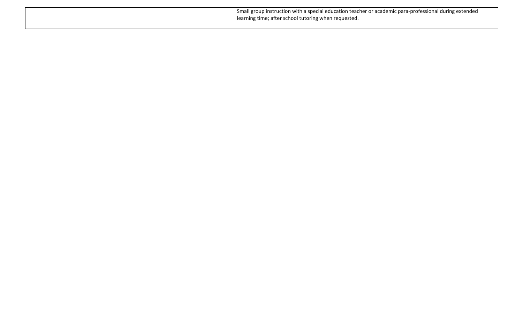| Small group instruction with a special education teacher or academic para-professional during extended |
|--------------------------------------------------------------------------------------------------------|
| learning time; after school tutoring when requested.                                                   |
|                                                                                                        |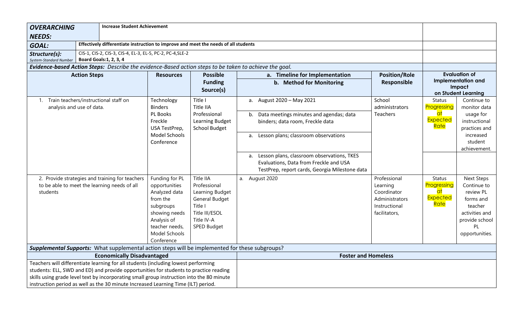| <b>OVERARCHING</b>                                                                                                                                                          |                     | <b>Increase Student Achievement</b>                                                                    |                                |                                 |                                        |                                                |                         |                              |                                     |
|-----------------------------------------------------------------------------------------------------------------------------------------------------------------------------|---------------------|--------------------------------------------------------------------------------------------------------|--------------------------------|---------------------------------|----------------------------------------|------------------------------------------------|-------------------------|------------------------------|-------------------------------------|
| <b>NEEDS:</b>                                                                                                                                                               |                     |                                                                                                        |                                |                                 |                                        |                                                |                         |                              |                                     |
| <b>GOAL:</b>                                                                                                                                                                |                     | Effectively differentiate instruction to improve and meet the needs of all students                    |                                |                                 |                                        |                                                |                         |                              |                                     |
| Structure(s):<br>System-Standard Number                                                                                                                                     |                     | CIS-1, CIS-2, CIS-3, CIS-4, EL-3, EL-5, PC-2, PC-4, SLE-2<br><b>Board Goals:1, 2, 3, 4</b>             |                                |                                 |                                        |                                                |                         |                              |                                     |
|                                                                                                                                                                             |                     | Evidence-based Action Steps: Describe the evidence-Based action steps to be taken to achieve the goal. |                                |                                 |                                        |                                                |                         |                              |                                     |
|                                                                                                                                                                             | <b>Action Steps</b> |                                                                                                        | <b>Resources</b>               | <b>Possible</b>                 |                                        | a. Timeline for Implementation                 | <b>Position/Role</b>    | <b>Evaluation of</b>         |                                     |
|                                                                                                                                                                             |                     |                                                                                                        |                                | <b>Funding</b>                  |                                        | b. Method for Monitoring                       | Responsible             |                              | <b>Implementation and</b><br>Impact |
|                                                                                                                                                                             |                     |                                                                                                        |                                | Source(s)                       |                                        |                                                |                         |                              | on Student Learning                 |
| 1. Train teachers/instructional staff on                                                                                                                                    |                     |                                                                                                        | Technology                     | Title I                         |                                        | a. August 2020 - May 2021                      | School                  | <b>Status</b>                | Continue to                         |
| analysis and use of data.                                                                                                                                                   |                     |                                                                                                        | <b>Binders</b>                 | Title IIA                       |                                        |                                                | administrators          | Progressing                  | monitor data                        |
|                                                                                                                                                                             |                     |                                                                                                        | PL Books<br>Freckle            | Professional<br>Learning Budget | $b_{-}$                                | Data meetings minutes and agendas; data        | <b>Teachers</b>         | <u>at</u><br>Expected        | usage for<br>instructional          |
|                                                                                                                                                                             |                     |                                                                                                        | USA TestPrep,                  | <b>School Budget</b>            |                                        | binders; data room, Freckle data               |                         | Rate                         | practices and                       |
|                                                                                                                                                                             |                     |                                                                                                        | <b>Model Schools</b>           |                                 | а.                                     | Lesson plans; classroom observations           |                         |                              | increased                           |
|                                                                                                                                                                             |                     | Conference                                                                                             |                                |                                 |                                        |                                                |                         | student                      |                                     |
|                                                                                                                                                                             |                     |                                                                                                        |                                |                                 |                                        |                                                |                         |                              | achievement.                        |
|                                                                                                                                                                             |                     |                                                                                                        |                                |                                 | a.                                     | Lesson plans, classroom observations, TKES     |                         |                              |                                     |
|                                                                                                                                                                             |                     |                                                                                                        |                                |                                 | Evaluations, Data from Freckle and USA |                                                |                         |                              |                                     |
|                                                                                                                                                                             |                     |                                                                                                        |                                |                                 |                                        | TestPrep, report cards, Georgia Milestone data |                         |                              |                                     |
|                                                                                                                                                                             |                     | 2. Provide strategies and training for teachers                                                        | Funding for PL                 | Title IIA<br>Professional       |                                        | a. August 2020                                 | Professional            | <b>Status</b><br>Progressing | <b>Next Steps</b>                   |
| students                                                                                                                                                                    |                     | to be able to meet the learning needs of all                                                           | opportunities<br>Analyzed data | Learning Budget                 |                                        |                                                | Learning<br>Coordinator | at                           | Continue to<br>review PL            |
|                                                                                                                                                                             |                     |                                                                                                        | from the                       | General Budget                  |                                        |                                                | Administrators          | Expected                     | forms and                           |
|                                                                                                                                                                             |                     |                                                                                                        | subgroups                      | Title I                         |                                        |                                                | Instructional           | Rate                         | teacher                             |
|                                                                                                                                                                             |                     |                                                                                                        | showing needs                  | Title III/ESOL                  |                                        |                                                | facilitators,           |                              | activities and                      |
|                                                                                                                                                                             |                     |                                                                                                        | Analysis of                    | Title IV-A                      |                                        |                                                |                         |                              | provide school                      |
|                                                                                                                                                                             |                     |                                                                                                        | teacher needs,                 | SPED Budget                     |                                        |                                                |                         |                              | PL                                  |
| Model Schools                                                                                                                                                               |                     |                                                                                                        |                                |                                 |                                        |                                                | opportunities.          |                              |                                     |
| Conference                                                                                                                                                                  |                     |                                                                                                        |                                |                                 |                                        |                                                |                         |                              |                                     |
| Supplemental Supports: What supplemental action steps will be implemented for these subgroups?                                                                              |                     |                                                                                                        |                                |                                 |                                        |                                                |                         |                              |                                     |
| <b>Economically Disadvantaged</b>                                                                                                                                           |                     |                                                                                                        |                                |                                 | <b>Foster and Homeless</b>             |                                                |                         |                              |                                     |
| Teachers will differentiate learning for all students (including lowest performing<br>students: ELL, SWD and ED) and provide opportunities for students to practice reading |                     |                                                                                                        |                                |                                 |                                        |                                                |                         |                              |                                     |
| skills using grade level text by incorporating small group instruction into the 80 minute                                                                                   |                     |                                                                                                        |                                |                                 |                                        |                                                |                         |                              |                                     |
| instruction period as well as the 30 minute Increased Learning Time (ILT) period.                                                                                           |                     |                                                                                                        |                                |                                 |                                        |                                                |                         |                              |                                     |